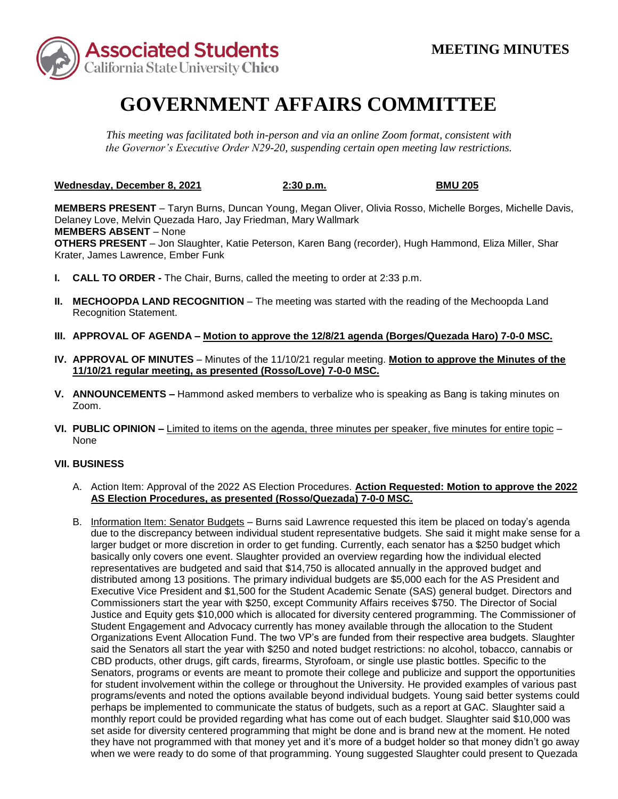

## **GOVERNMENT AFFAIRS COMMITTEE**

*This meeting was facilitated both in-person and via an online Zoom format, consistent with the Governor's Executive Order N29-20, suspending certain open meeting law restrictions.* 

**Wednesday, December 8, 2021 2:30 p.m. BMU 205** 

 **MEMBERS ABSENT** – None Krater, James Lawrence, Ember Funk **MEMBERS PRESENT** – Taryn Burns, Duncan Young, Megan Oliver, Olivia Rosso, Michelle Borges, Michelle Davis, Delaney Love, Melvin Quezada Haro, Jay Friedman, Mary Wallmark **OTHERS PRESENT** – Jon Slaughter, Katie Peterson, Karen Bang (recorder), Hugh Hammond, Eliza Miller, Shar

- **I. CALL TO ORDER -** The Chair, Burns, called the meeting to order at 2:33 p.m.
- **II. MECHOOPDA LAND RECOGNITION** The meeting was started with the reading of the Mechoopda Land Recognition Statement.
- **III. APPROVAL OF AGENDA – Motion to approve the 12/8/21 agenda (Borges/Quezada Haro) 7-0-0 MSC.**
- **IV. APPROVAL OF MINUTES**  Minutes of the 11/10/21 regular meeting. **Motion to approve the Minutes of the 11/10/21 regular meeting, as presented (Rosso/Love) 7-0-0 MSC.**
- **V. ANNOUNCEMENTS –** Hammond asked members to verbalize who is speaking as Bang is taking minutes on Zoom.
- **VI. PUBLIC OPINION –** Limited to items on the agenda, three minutes per speaker, five minutes for entire topic None

## **VII. BUSINESS**

- A. Action Item: Approval of the 2022 AS Election Procedures. **Action Requested: Motion to approve the 2022 AS Election Procedures, as presented (Rosso/Quezada) 7-0-0 MSC.**
- distributed among 13 positions. The primary individual budgets are \$5,000 each for the AS President and Commissioners start the year with \$250, except Community Affairs receives \$750. The Director of Social Student Engagement and Advocacy currently has money available through the allocation to the Student said the Senators all start the year with \$250 and noted budget restrictions: no alcohol, tobacco, cannabis or monthly report could be provided regarding what has come out of each budget. Slaughter said \$10,000 was when we were ready to do some of that programming. Young suggested Slaughter could present to Quezada B. Information Item: Senator Budgets - Burns said Lawrence requested this item be placed on today's agenda due to the discrepancy between individual student representative budgets. She said it might make sense for a larger budget or more discretion in order to get funding. Currently, each senator has a \$250 budget which basically only covers one event. Slaughter provided an overview regarding how the individual elected representatives are budgeted and said that \$14,750 is allocated annually in the approved budget and Executive Vice President and \$1,500 for the Student Academic Senate (SAS) general budget. Directors and Justice and Equity gets \$10,000 which is allocated for diversity centered programming. The Commissioner of Organizations Event Allocation Fund. The two VP's are funded from their respective area budgets. Slaughter CBD products, other drugs, gift cards, firearms, Styrofoam, or single use plastic bottles. Specific to the Senators, programs or events are meant to promote their college and publicize and support the opportunities for student involvement within the college or throughout the University. He provided examples of various past programs/events and noted the options available beyond individual budgets. Young said better systems could perhaps be implemented to communicate the status of budgets, such as a report at GAC. Slaughter said a set aside for diversity centered programming that might be done and is brand new at the moment. He noted they have not programmed with that money yet and it's more of a budget holder so that money didn't go away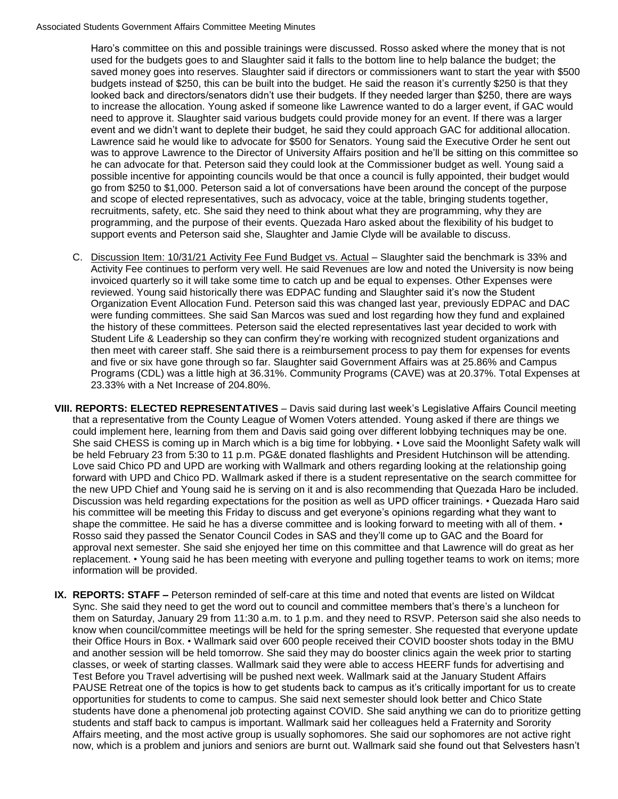budgets instead of \$250, this can be built into the budget. He said the reason it's currently \$250 is that they looked back and directors/senators didn't use their budgets. If they needed larger than \$250, there are ways to increase the allocation. Young asked if someone like Lawrence wanted to do a larger event, if GAC would was to approve Lawrence to the Director of University Affairs position and he'll be sitting on this committee so Haro's committee on this and possible trainings were discussed. Rosso asked where the money that is not used for the budgets goes to and Slaughter said it falls to the bottom line to help balance the budget; the saved money goes into reserves. Slaughter said if directors or commissioners want to start the year with \$500 need to approve it. Slaughter said various budgets could provide money for an event. If there was a larger event and we didn't want to deplete their budget, he said they could approach GAC for additional allocation. Lawrence said he would like to advocate for \$500 for Senators. Young said the Executive Order he sent out he can advocate for that. Peterson said they could look at the Commissioner budget as well. Young said a possible incentive for appointing councils would be that once a council is fully appointed, their budget would go from \$250 to \$1,000. Peterson said a lot of conversations have been around the concept of the purpose and scope of elected representatives, such as advocacy, voice at the table, bringing students together, recruitments, safety, etc. She said they need to think about what they are programming, why they are programming, and the purpose of their events. Quezada Haro asked about the flexibility of his budget to support events and Peterson said she, Slaughter and Jamie Clyde will be available to discuss.

- Activity Fee continues to perform very well. He said Revenues are low and noted the University is now being were funding committees. She said San Marcos was sued and lost regarding how they fund and explained then meet with career staff. She said there is a reimbursement process to pay them for expenses for events C. Discussion Item: 10/31/21 Activity Fee Fund Budget vs. Actual – Slaughter said the benchmark is 33% and invoiced quarterly so it will take some time to catch up and be equal to expenses. Other Expenses were reviewed. Young said historically there was EDPAC funding and Slaughter said it's now the Student Organization Event Allocation Fund. Peterson said this was changed last year, previously EDPAC and DAC the history of these committees. Peterson said the elected representatives last year decided to work with Student Life & Leadership so they can confirm they're working with recognized student organizations and and five or six have gone through so far. Slaughter said Government Affairs was at 25.86% and Campus Programs (CDL) was a little high at 36.31%. Community Programs (CAVE) was at 20.37%. Total Expenses at 23.33% with a Net Increase of 204.80%.
- that a representative from the County League of Women Voters attended. Young asked if there are things we She said CHESS is coming up in March which is a big time for lobbying. • Love said the Moonlight Safety walk will be held February 23 from 5:30 to 11 p.m. PG&E donated flashlights and President Hutchinson will be attending. Love said Chico PD and UPD are working with Wallmark and others regarding looking at the relationship going the new UPD Chief and Young said he is serving on it and is also recommending that Quezada Haro be included. his committee will be meeting this Friday to discuss and get everyone's opinions regarding what they want to approval next semester. She said she enjoyed her time on this committee and that Lawrence will do great as her information will be provided. **VIII. REPORTS: ELECTED REPRESENTATIVES** – Davis said during last week's Legislative Affairs Council meeting could implement here, learning from them and Davis said going over different lobbying techniques may be one. forward with UPD and Chico PD. Wallmark asked if there is a student representative on the search committee for Discussion was held regarding expectations for the position as well as UPD officer trainings. • Quezada Haro said shape the committee. He said he has a diverse committee and is looking forward to meeting with all of them.  $\cdot$ Rosso said they passed the Senator Council Codes in SAS and they'll come up to GAC and the Board for replacement. • Young said he has been meeting with everyone and pulling together teams to work on items; more
- their Office Hours in Box. Wallmark said over 600 people received their COVID booster shots today in the BMU classes, or week of starting classes. Wallmark said they were able to access HEERF funds for advertising and **IX. REPORTS: STAFF –** Peterson reminded of self-care at this time and noted that events are listed on Wildcat Sync. She said they need to get the word out to council and committee members that's there's a luncheon for them on Saturday, January 29 from 11:30 a.m. to 1 p.m. and they need to RSVP. Peterson said she also needs to know when council/committee meetings will be held for the spring semester. She requested that everyone update and another session will be held tomorrow. She said they may do booster clinics again the week prior to starting Test Before you Travel advertising will be pushed next week. Wallmark said at the January Student Affairs PAUSE Retreat one of the topics is how to get students back to campus as it's critically important for us to create opportunities for students to come to campus. She said next semester should look better and Chico State students have done a phenomenal job protecting against COVID. She said anything we can do to prioritize getting students and staff back to campus is important. Wallmark said her colleagues held a Fraternity and Sorority Affairs meeting, and the most active group is usually sophomores. She said our sophomores are not active right now, which is a problem and juniors and seniors are burnt out. Wallmark said she found out that Selvesters hasn't